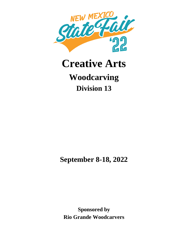

# **Creative Arts Woodcarving Division 13**

**September 8-18, 2022**

**Sponsored by Rio Grande Woodcarvers**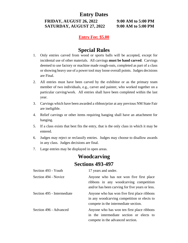#### **Entry Dates**

**FRIDAY, AUGUST 26, 2022 9:00 AM to 5:00 PM SATURDAY, AUGUST 27, 2022 9:00 AM to 5:00 PM**

#### **Entry Fee: \$5.00**

## **Special Rules**

- 1. Only entries carved from wood or sports balls will be accepted, except for incidental use of other materials. All carvings **must be hand carved**. Carvings deemed to use factory or machine made rough-outs, completed as part of a class or showing heavy use of a power tool may loose overall points. Judges decisions are Final.
- 2. All entries must have been carved by the exhibitor or as the primary team member of two individuals, e.g., carver and painter, who worked together on a particular carving/work. All entries shall have been completed within the last year.
- 3. Carvings which have been awarded a ribbon/prize at any previous NM State Fair are ineligible.
- 4. Relief carvings or other items requiring hanging shall have an attachment for hanging.
- 5. If a class exists that best fits the entry, that is the only class in which it may be entered.
- 6. Judges may reject or reclassify entries. Judges may choose to disallow awards in any class. Judges decisions are final.
- 7. Large entries may be displayed in open areas.

## **Woodcarving Sections 493-497**

| Section 493 - Youth        | 17 years and under.                                                                                                                  |
|----------------------------|--------------------------------------------------------------------------------------------------------------------------------------|
| Section 494 - Novice       | Anyone who has not won five first place<br>ribbons in any woodcarving competition<br>and/or has been carving for five years or less. |
| Section 495 - Intermediate | Anyone who has won five first place ribbons<br>in any woodcarving competition or elects to<br>compete in the intermediate section.   |
| Section 496 - Advanced     | Anyone who has won ten first place ribbons<br>in the intermediate section or elects to<br>compete in the advanced section.           |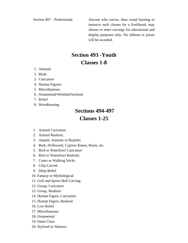Section 497 – Professional Anyone who carves, does wood burning or instructs such classes for a livelihood, may choose to enter carvings for educational and display purposes only. No ribbons or prizes will be awarded.

# **Section 493 -Youth Classes 1-8**

- 1. Animals
- 2. Birds
- 3. Caricature
- 4. Human Figures
- 5. Miscellaneous
- 6. Ornamental/Whittled/Stylized
- 7. Relief
- 8. Woodburning

#### **Sections 494-497**

### **Classes 1-25**

- 1. Animal Caricature
- 2. Animal Realistic
- 3. Aquatic Animals or Reptiles
- 4. Bark, Driftwood, Cypress Knees, Roots, etc.
- 5. Bird or Waterfowl Caricature
- 6. Bird or Waterfowl Realistic
- 7. Canes or Walking Sticks
- 8. Chip Carved
- 9. Deep Relief
- 10. Fantasy or Mythological
- 11. Golf and Sports Ball Carving
- 12. Group, Caricature
- 13. Group, Realistic
- 14. Human Figure, Caricature
- 15. Human Figure, Realistic
- 16. Low Relief
- 17. Miscellaneous
- 18. Ornamental
- 19. Santa Claus
- 20. Stylized or Abstract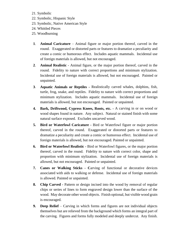- 21. Symbolic
- 22. Symbolic, Hispanic Style
- 23. Symbolic, Native American Style
- 24. Whittled Pieces
- 25. Woodburning
- **1**. **Animal Caricature** Animal figure or major portion thereof, carved in the round. Exaggerated or distorted parts or features to dramatize a peculiarity and create a comic or humorous effect. Includes aquatic mammals. Incidental use of foreign materials is allowed, but not encouraged.
- **2**. **Animal Realistic** Animal figure, or the major portion thereof, carved in the round. Fidelity to nature with correct proportions and minimum stylization. Incidental use of foreign materials is allowed, but not encouraged. Painted or unpainted.
- **3**. **Aquatic Animals or Reptiles -** Realistically carved whales, dolphins, fish, turtle, frog, snake, and reptiles. Fidelity to nature with correct proportions and minimum stylization. Includes aquatic mammals. Incidental use of foreign materials is allowed, but not encouraged. Painted or unpainted.
- **4. Bark, Driftwood, Cypress Knees, Roots, etc. -** A carving in or on wood or wood shapes found in nature. Any subject. Natural or stained finish with some natural surface exposed. Excludes uncarved wood.
- **5. Bird or Waterfowl Caricature -** Bird or Waterfowl figure or major portion thereof, carved in the round. Exaggerated or distorted parts or features to dramatize a peculiarity and create a comic or humorous effect. Incidental use of foreign materials is allowed, but not encouraged. Painted or unpainted.
- **6. Bird or Waterfowl Realistic -** Bird or Waterfowl figures, or the major portion thereof, carved in the round. Fidelity to nature with correct color, shape and proportion with minimum stylization. Incidental use of foreign materials is allowed, but not encouraged. Painted or unpainted.
- **7. Canes or Walking Sticks - C**arving of functional or decorative devices associated with aids to walking or defense. Incidental use of foreign materials is allowed. Painted or unpainted.
- **8. Chip Carved -** Pattern or design incised into the wood by removal of regular chips or series of lines to form engraved design lower than the surface of the wood. May decorate other wood objects. Finish optional, but visible wood grain is encouraged.
- **9. Deep Relief** Carving in which forms and figures are not individual objects themselves but are relieved from the background which forms an integral part of the carving. Figures and forms fully modeled and deeply undercut. Any finish.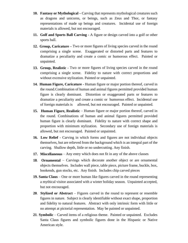- **10. Fantasy or Mythological –** Carving that represents mythological creatures such as dragons and unicorns, or beings, such as Zeus and Thor, or fantasy representations of made up beings and creatures. Incidental use of foreign materials is allowed, but not encouraged.
- **11. Golf and Sports Ball Carving -** A figure or design carved into a golf or other sports ball.
- **12. Group, Caricature –** Two or more figures of living species carved in the round comprising a single scene. Exaggerated or distorted parts and features to dramatize a peculiarity and create a comic or humorous effect. Painted or unpainted.
- **13. Group, Realistic -** Two or more figures of living species carved in the round comprising a single scene. Fidelity to nature with correct proportions and without excessive stylization. Painted or unpainted.
- **14. Human Figure, Caricature -** Human figure or major portion thereof, carved in the round.Combination of human and animal figures permitted provided human figure is clearly dominant. Distortion or exaggerated parts or features to dramatize a peculiarity and create a comic or humorous effect. Incidental use of foreign materials is allowed, but not encouraged. Painted or unpainted.
- **15. Human Figure, Realistic** Human figure or major portion thereof, carved in the round. Combinations of human and animal figures permitted provided human figure is clearly dominant. Fidelity to nature with correct shape and proportion with minimum stylization. Secondary use of foreign materials is allowed, but not encouraged. Painted or unpainted.
- **16. Low Relief -** Carving in which forms and figures are not individual objects themselves, but are relieved from the background which is an integral part of the carving. Shallow depth, little or no undercutting. Any finish.
- **17. Miscellaneous** Any entry which does not fit in any of the above classes
- **18**. **Ornamental** Carvings which decorate another object or are ornamental objects themselves. Includes wall piece, table piece, picture frame, buckle, box, bookends, gun stocks, etc. Any finish. Includes chip carved pieces
- **19. Santa Claus** One or more human like figures carved in the round representing a mythical visitor associated with a winter holiday season. Unpainted accepted, but not encouraged.
- **20**. **Stylized or Abstract** Figures carved in the round to represent or resemble figures in nature. Subject is clearly identifiable without exact shape, proportion and fidelity to natural features. Abstract with only intrinsic form with little or no attempt at pictorial representation. May be painted or unpainted.
- **21**. **Symbolic** Carved items of a religious theme. Painted or unpainted. Excludes Santa Claus figures and symbolic figures done in the Hispanic or Native American style.